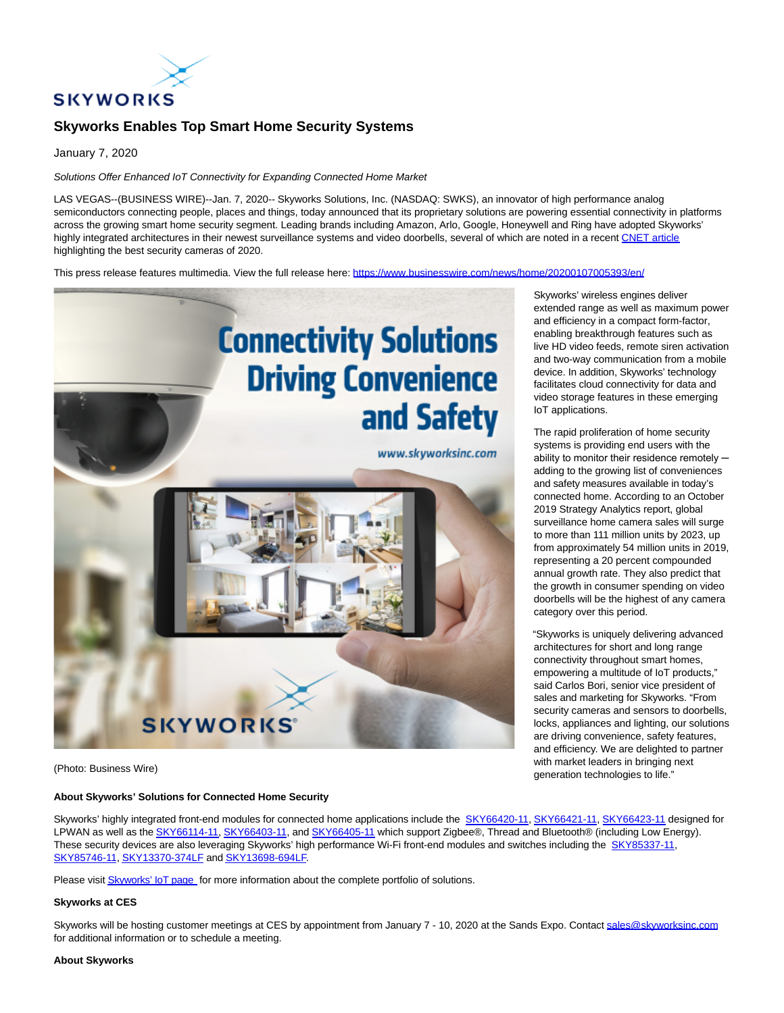

# **Skyworks Enables Top Smart Home Security Systems**

January 7, 2020

### Solutions Offer Enhanced IoT Connectivity for Expanding Connected Home Market

LAS VEGAS--(BUSINESS WIRE)--Jan. 7, 2020-- Skyworks Solutions, Inc. (NASDAQ: SWKS), an innovator of high performance analog semiconductors connecting people, places and things, today announced that its proprietary solutions are powering essential connectivity in platforms across the growing smart home security segment. Leading brands including Amazon, Arlo, Google, Honeywell and Ring have adopted Skyworks' highly integrated architectures in their newest surveillance systems and video doorbells, several of which are noted in a recent [CNET article](https://cts.businesswire.com/ct/CT?id=smartlink&url=https%3A%2F%2Fwww.cnet.com%2Fnews%2Fbest-home-security-cameras-of-2019-arlo-wyze-nest%2F&esheet=52154312&newsitemid=20200107005393&lan=en-US&anchor=CNET+article&index=1&md5=01c53ca311900157d0f0e5ddf8257a25) highlighting the best security cameras of 2020.

This press release features multimedia. View the full release here:<https://www.businesswire.com/news/home/20200107005393/en/>



(Photo: Business Wire)

## **About Skyworks' Solutions for Connected Home Security**

Skyworks' highly integrated front-end modules for connected home applications include the [SKY66420-11,](https://cts.businesswire.com/ct/CT?id=smartlink&url=http%3A%2F%2Fwww.skyworksinc.com%2FProduct%2F4124%2FSKY66420-11%3FIsProduct%3Dtrue%3Fsource%3Dpr&esheet=52154312&newsitemid=20200107005393&lan=en-US&anchor=SKY66420-11&index=2&md5=5a2f9526565d59b4fdd732f55c33b05a) [SKY66421-11,](https://cts.businesswire.com/ct/CT?id=smartlink&url=http%3A%2F%2Fwww.skyworksinc.com%2FProduct%2F4176%2FSKY66421-11%3Fsource%3Dpr&esheet=52154312&newsitemid=20200107005393&lan=en-US&anchor=SKY66421-11&index=3&md5=17348b9d996371c5ef8227e9d0a0d982) [SKY66423-11 d](https://cts.businesswire.com/ct/CT?id=smartlink&url=https%3A%2F%2Fwww.skyworksinc.com%2Fproducts%2Ffront-end-modules%2Fsky66423-11%3Fsource%3Dpr&esheet=52154312&newsitemid=20200107005393&lan=en-US&anchor=SKY66423-11&index=4&md5=2023fed341c1dd1ae810a24522a31ad5)esigned for LPWAN as well as th[e SKY66114-11,](https://cts.businesswire.com/ct/CT?id=smartlink&url=https%3A%2F%2Fwww.skyworksinc.com%2Fen%2FProducts%2FFront-end-Modules%2FSKY66114-11%3Fsource%3Dpr&esheet=52154312&newsitemid=20200107005393&lan=en-US&anchor=SKY66114-11&index=5&md5=9e4ed76277b9a611a11401a620fa8caa) [SKY66403-11,](https://cts.businesswire.com/ct/CT?id=smartlink&url=https%3A%2F%2Fwww.skyworksinc.com%2Fen%2FProducts%2FFront-end-Modules%2FSKY66403-11%3Fsource%3Dpr&esheet=52154312&newsitemid=20200107005393&lan=en-US&anchor=SKY66403-11&index=6&md5=f7d5d4cb854b0e7866c1ac778b276459) and [SKY66405-11 w](https://cts.businesswire.com/ct/CT?id=smartlink&url=https%3A%2F%2Fwww.skyworksinc.com%2Fen%2FProducts%2FFront-end-Modules%2FSKY66405-11%3Fsource%3Dpr&esheet=52154312&newsitemid=20200107005393&lan=en-US&anchor=SKY66405-11&index=7&md5=4fa5e75358771c366f1222a9256d8201)hich support Zigbee®, Thread and Bluetooth® (including Low Energy). These security devices are also leveraging Skyworks' high performance Wi-Fi front-end modules and switches including the [SKY85337-11,](https://cts.businesswire.com/ct/CT?id=smartlink&url=https%3A%2F%2Fwww.skyworksinc.com%2Fen%2FProducts%2FFront-end-Modules%2FSKY85337-11%3Fsource%3Dpr&esheet=52154312&newsitemid=20200107005393&lan=en-US&anchor=SKY85337-11&index=8&md5=27dd30dd17c65da89ba58c586bd8f641) [SKY85746-11,](https://cts.businesswire.com/ct/CT?id=smartlink&url=https%3A%2F%2Fwww.skyworksinc.com%2Fen%2FProducts%2FFront-end-Modules%2FSKY85746-11%3Fsource%3Dpr&esheet=52154312&newsitemid=20200107005393&lan=en-US&anchor=SKY85746-11&index=9&md5=0cc1480e28c73632c1047f115278ec86) [SKY13370-374LF a](https://cts.businesswire.com/ct/CT?id=smartlink&url=https%3A%2F%2Fwww.skyworksinc.com%2Fen%2FProducts%2FSwitches%2FSKY13370-374LF%3Fsource%3Dpr&esheet=52154312&newsitemid=20200107005393&lan=en-US&anchor=SKY13370-374LF&index=10&md5=da740495f4a8e13fea1012eb00334ae2)n[d SKY13698-694LF.](https://cts.businesswire.com/ct/CT?id=smartlink&url=https%3A%2F%2Fwww.skyworksinc.com%2Fen%2FProducts%2FSwitches%2FSKY13698-694LF%3Fsource%3Dpr&esheet=52154312&newsitemid=20200107005393&lan=en-US&anchor=SKY13698-694LF&index=11&md5=92b05f92178f7d95c96f3fef2f8dae51)

Please visi[t Skyworks' IoT page f](https://cts.businesswire.com/ct/CT?id=smartlink&url=https%3A%2F%2Fwww.skyworksinc.com%2Fen%2Fmarkets%2Finternet-of-things%3Fsource%3Dpr&esheet=52154312&newsitemid=20200107005393&lan=en-US&anchor=Skyworks%26%238217%3B+IoT+page&index=12&md5=65033e71ec29ba367f0bd4b732ed3609)or more information about the complete portfolio of solutions.

#### **Skyworks at CES**

Skyworks will be hosting customer meetings at CES by appointment from January 7 - 10, 2020 at the Sands Expo. Contac[t sales@skyworksinc.com](mailto:sales@skyworksinc.com) for additional information or to schedule a meeting.

#### **About Skyworks**

Skyworks' wireless engines deliver extended range as well as maximum power and efficiency in a compact form-factor, enabling breakthrough features such as live HD video feeds, remote siren activation and two-way communication from a mobile device. In addition, Skyworks' technology facilitates cloud connectivity for data and video storage features in these emerging IoT applications.

The rapid proliferation of home security systems is providing end users with the ability to monitor their residence remotely  $$ adding to the growing list of conveniences and safety measures available in today's connected home. According to an October 2019 Strategy Analytics report, global surveillance home camera sales will surge to more than 111 million units by 2023, up from approximately 54 million units in 2019, representing a 20 percent compounded annual growth rate. They also predict that the growth in consumer spending on video doorbells will be the highest of any camera category over this period.

"Skyworks is uniquely delivering advanced architectures for short and long range connectivity throughout smart homes, empowering a multitude of IoT products," said Carlos Bori, senior vice president of sales and marketing for Skyworks. "From security cameras and sensors to doorbells, locks, appliances and lighting, our solutions are driving convenience, safety features, and efficiency. We are delighted to partner with market leaders in bringing next generation technologies to life."